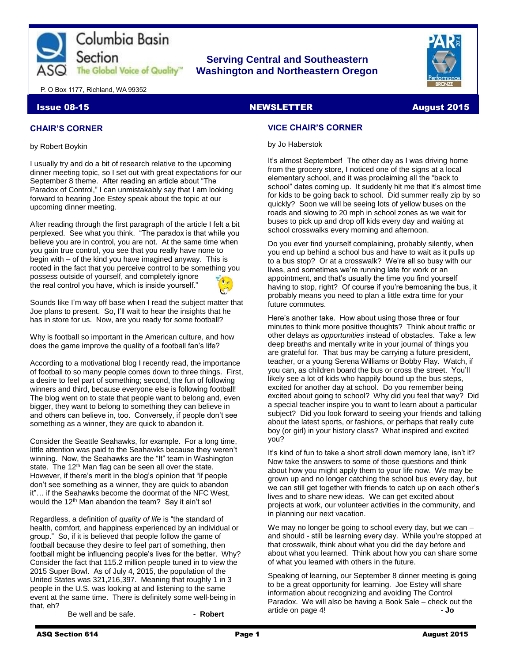

### **Serving Central and Southeastern The Global Voice of Quality | Washington and Northeastern Oregon**



P. O Box 1177, Richland, WA 99352

#### **Issue 08-15 August 2015** NEWSLETTER August 2015

#### **CHAIR'S CORNER**

by Robert Boykin

I usually try and do a bit of research relative to the upcoming dinner meeting topic, so I set out with great expectations for our September 8 theme. After reading an article about "The Paradox of Control," I can unmistakably say that I am looking forward to hearing Joe Estey speak about the topic at our upcoming dinner meeting.

After reading through the first paragraph of the article I felt a bit perplexed. See what you think. "The paradox is that while you believe you are in control, you are not. At the same time when you gain true control, you see that you really have none to begin with – of the kind you have imagined anyway. This is rooted in the fact that you perceive control to be something you possess outside of yourself, and completely ignore the real control you have, which is inside yourself."

Sounds like I'm way off base when I read the subject matter that Joe plans to present. So, I'll wait to hear the insights that he has in store for us. Now, are you ready for some football?

Why is football so important in the American culture, and how does the game improve the quality of a football fan's life?

According to a motivational blog I recently read, the importance of football to so many people comes down to three things. First, a desire to feel part of something; second, the fun of following winners and third, because everyone else is following football! The blog went on to state that people want to belong and, even bigger, they want to belong to something they can believe in and others can believe in, too. Conversely, if people don't see something as a winner, they are quick to abandon it.

Consider the Seattle Seahawks, for example. For a long time, little attention was paid to the Seahawks because they weren't winning. Now, the Seahawks are the "It" team in Washington state. The 12<sup>th</sup> Man flag can be seen all over the state. However, if there's merit in the blog's opinion that "if people don't see something as a winner, they are quick to abandon it"… if the Seahawks become the doormat of the NFC West, would the 12<sup>th</sup> Man abandon the team? Say it ain't so!

Regardless, a definition of *quality of life* is "the standard of health, comfort, and happiness experienced by an individual or group."So, if it is believed that people follow the game of football because they desire to feel part of something, then football might be influencing people's lives for the better. Why? Consider the fact that 115.2 million people tuned in to view the 2015 Super Bowl. As of July 4, 2015, the population of the United States was 321,216,397. Meaning that roughly 1 in 3 people in the U.S. was looking at and listening to the same event at the same time. There is definitely some well-being in that, eh?

Be well and be safe. **- Robert** 

#### **VICE CHAIR'S CORNER**

by Jo Haberstok

It's almost September! The other day as I was driving home from the grocery store, I noticed one of the signs at a local elementary school, and it was proclaiming all the "back to school" dates coming up. It suddenly hit me that it's almost time for kids to be going back to school. Did summer really zip by so quickly? Soon we will be seeing lots of yellow buses on the roads and slowing to 20 mph in school zones as we wait for buses to pick up and drop off kids every day and waiting at school crosswalks every morning and afternoon.

Do you ever find yourself complaining, probably silently, when you end up behind a school bus and have to wait as it pulls up to a bus stop? Or at a crosswalk? We're all so busy with our lives, and sometimes we're running late for work or an appointment, and that's usually the time you find yourself having to stop, right? Of course if you're bemoaning the bus, it probably means you need to plan a little extra time for your future commutes.

Here's another take. How about using those three or four minutes to think more positive thoughts? Think about traffic or other delays as *opportunities* instead of obstacles. Take a few deep breaths and mentally write in your journal of things you are grateful for. That bus may be carrying a future president, teacher, or a young Serena Williams or Bobby Flay. Watch, if you can, as children board the bus or cross the street. You'll likely see a lot of kids who happily bound up the bus steps, excited for another day at school. Do you remember being excited about going to school? Why did you feel that way? Did a special teacher inspire you to want to learn about a particular subject? Did you look forward to seeing your friends and talking about the latest sports, or fashions, or perhaps that really cute boy (or girl) in your history class? What inspired and excited you?

It's kind of fun to take a short stroll down memory lane, isn't it? Now take the answers to some of those questions and think about how you might apply them to your life now. We may be grown up and no longer catching the school bus every day, but we can still get together with friends to catch up on each other's lives and to share new ideas. We can get excited about projects at work, our volunteer activities in the community, and in planning our next vacation.

We may no longer be going to school every day, but we can – and should - still be learning every day. While you're stopped at that crosswalk, think about what you did the day before and about what you learned. Think about how you can share some of what you learned with others in the future.

Speaking of learning, our September 8 dinner meeting is going to be a great opportunity for learning. Joe Estey will share information about recognizing and avoiding The Control Paradox. We will also be having a Book Sale – check out the article on page 4! **- Jo**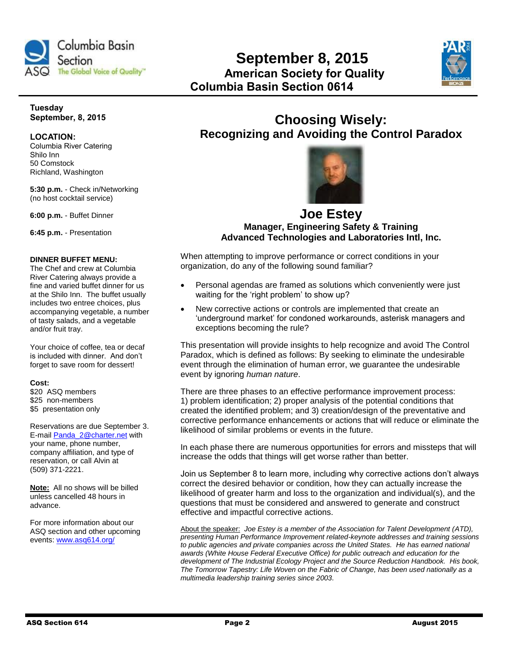

 **September 8, 2015 The Global Voice of Quality" American Society for Quality Columbia Basin Section 0614**



#### **Tuesday September, 8, 2015**

#### **LOCATION:**

Columbia River Catering Shilo Inn 50 Comstock Richland, Washington

**5:30 p.m.** - Check in/Networking (no host cocktail service)

**6:00 p.m.** - Buffet Dinner

**6:45 p.m.** - Presentation

#### **DINNER BUFFET MENU:**

The Chef and crew at Columbia River Catering always provide a fine and varied buffet dinner for us at the Shilo Inn. The buffet usually includes two entree choices, plus accompanying vegetable, a number of tasty salads, and a vegetable and/or fruit tray.

Your choice of coffee, tea or decaf is included with dinner. And don't forget to save room for dessert!

#### **Cost:**

\$20 ASQ members \$25 non-members \$5 presentation only

Reservations are due September 3. E-mail [Panda\\_2@charter.net](mailto:Panda_2@charter.net) with your name, phone number, company affiliation, and type of reservation, or call Alvin at (509) 371-2221.

**Note:** All no shows will be billed unless cancelled 48 hours in advance.

For more information about our ASQ section and other upcoming events[: www.asq614.org/](http://www.asq614.org/)

# **Choosing Wisely: Recognizing and Avoiding the Control Paradox**



### **Joe Estey Manager, Engineering Safety & Training Advanced Technologies and Laboratories Intl, Inc.**

When attempting to improve performance or correct conditions in your organization, do any of the following sound familiar?

- Personal agendas are framed as solutions which conveniently were just waiting for the 'right problem' to show up?
- New corrective actions or controls are implemented that create an 'underground market' for condoned workarounds, asterisk managers and exceptions becoming the rule?

This presentation will provide insights to help recognize and avoid The Control Paradox, which is defined as follows: By seeking to eliminate the undesirable event through the elimination of human error, we guarantee the undesirable event by ignoring *human nature*.

There are three phases to an effective performance improvement process: 1) problem identification; 2) proper analysis of the potential conditions that created the identified problem; and 3) creation/design of the preventative and corrective performance enhancements or actions that will reduce or eliminate the likelihood of similar problems or events in the future.

In each phase there are numerous opportunities for errors and missteps that will increase the odds that things will get worse rather than better.

Join us September 8 to learn more, including why corrective actions don't always correct the desired behavior or condition, how they can actually increase the likelihood of greater harm and loss to the organization and individual(s), and the questions that must be considered and answered to generate and construct effective and impactful corrective actions.

About the speaker: *Joe Estey is a member of the Association for Talent Development (ATD), presenting Human Performance Improvement related-keynote addresses and training sessions to public agencies and private companies across the United States. He has earned national awards (White House Federal Executive Office) for public outreach and education for the*  development of The Industrial Ecology Project and the Source Reduction Handbook. His book, *The Tomorrow Tapestry: Life Woven on the Fabric of Change, has been used nationally as a multimedia leadership training series since 2003.*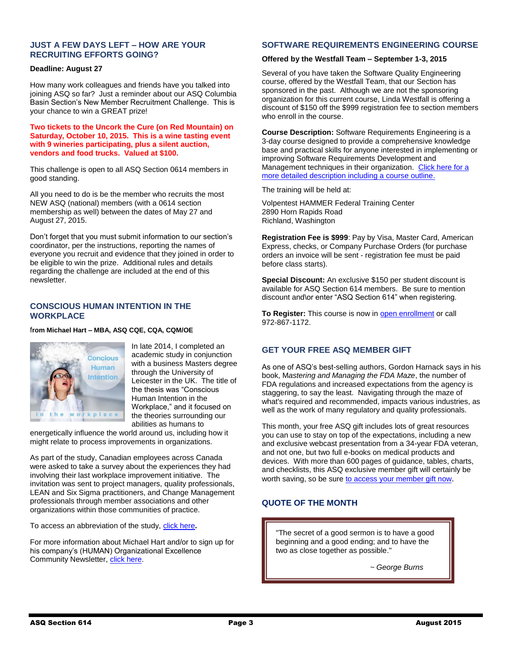#### **JUST A FEW DAYS LEFT – HOW ARE YOUR RECRUITING EFFORTS GOING?**

#### **Deadline: August 27**

How many work colleagues and friends have you talked into joining ASQ so far? Just a reminder about our ASQ Columbia Basin Section's New Member Recruitment Challenge. This is your chance to win a GREAT prize!

**Two tickets to the Uncork the Cure (on Red Mountain) on Saturday, October 10, 2015. This is a wine tasting event with 9 wineries participating, plus a silent auction, vendors and food trucks. Valued at \$100.** 

This challenge is open to all ASQ Section 0614 members in good standing.

All you need to do is be the member who recruits the most NEW ASQ (national) members (with a 0614 section membership as well) between the dates of May 27 and August 27, 2015.

Don't forget that you must submit information to our section's coordinator, per the instructions, reporting the names of everyone you recruit and evidence that they joined in order to be eligible to win the prize. Additional rules and details regarding the challenge are included at the end of this newsletter.

#### **CONSCIOUS HUMAN INTENTION IN THE WORKPLACE**

f**rom Michael Hart – MBA, ASQ CQE, CQA, CQM/OE**



In late 2014, I completed an academic study in conjunction with a business Masters degree through the University of Leicester in the UK. The title of the thesis was "Conscious Human Intention in the Workplace," and it focused on the theories surrounding our abilities as humans to

energetically influence the world around us, including how it might relate to process improvements in organizations.

As part of the study, Canadian employees across Canada were asked to take a survey about the experiences they had involving their last workplace improvement initiative. The invitation was sent to project managers, quality professionals, LEAN and Six Sigma practitioners, and Change Management professionals through member associations and other organizations within those communities of practice.

To access an abbreviation of the study, [click here](http://human.ca/index.php/2015/05/22/conscious-human-intention-in-the-workplace/)**.** 

For more information about Michael Hart and/or to sign up for his company's (HUMAN) Organizational Excellence Community Newsletter[, click here.](http://human.ca/index.php/about-human/)

#### **SOFTWARE REQUIREMENTS ENGINEERING COURSE**

#### **Offered by the Westfall Team – September 1-3, 2015**

Several of you have taken the Software Quality Engineering course, offered by the Westfall Team, that our Section has sponsored in the past. Although we are not the sponsoring organization for this current course, Linda Westfall is offering a discount of \$150 off the \$999 registration fee to section members who enroll in the course.

**Course Description:** Software Requirements Engineering is a 3-day course designed to provide a comprehensive knowledge base and practical skills for anyone interested in implementing or improving Software Requirements Development and Management techniques in their organization. [Click here for a](http://westfallteam.com/node/129)  [more detailed description including a course outline.](http://westfallteam.com/node/129)

The training will be held at:

Volpentest HAMMER Federal Training Center 2890 Horn Rapids Road Richland, Washington

**Registration Fee is \$999**: Pay by Visa, Master Card, American Express, checks, or Company Purchase Orders (for purchase orders an invoice will be sent - registration fee must be paid before class starts).

**Special Discount:** An exclusive \$150 per student discount is available for ASQ Section 614 members. Be sure to mention discount and\or enter "ASQ Section 614" when registering.

**To Register:** This course is now i[n open enrollment](http://westfallteam.com/node/106#overlay-context=node/129) or call 972-867-1172.

### **GET YOUR FREE ASQ MEMBER GIFT**

As one of ASQ's best-selling authors, Gordon Harnack says in his book, M*astering and Managing the FDA Maze*, the number of FDA regulations and increased expectations from the agency is staggering, to say the least. Navigating through the maze of what's required and recommended, impacts various industries, as well as the work of many regulatory and quality professionals.

This month, your free ASQ gift includes lots of great resources you can use to stay on top of the expectations, including a new and exclusive webcast presentation from a 34-year FDA veteran, and not one, but two full e-books on medical products and devices. With more than 600 pages of guidance, tables, charts, and checklists, this ASQ exclusive member gift will certainly be worth saving, so be sure [to access your member gift now](https://asq.org/SignIn.aspx?prvurl=http://asq.org/membership/members/gift/?utm_content=&utm_source=email&utm_medium=email&utm_campaign=marketing_engagement_bg080315augustmembergift).

### **QUOTE OF THE MONTH**

L

"The secret of a good sermon is to have a good beginning and a good ending; and to have the two as close together as possible."

*~ George Burns*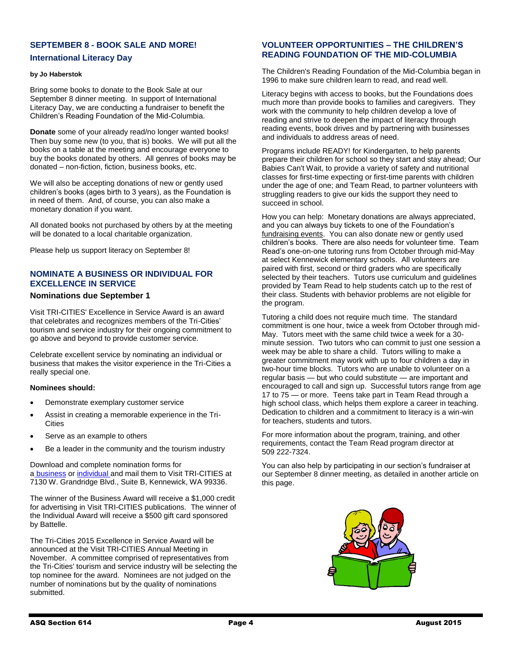## **SEPTEMBER 8 - BOOK SALE AND MORE!**

#### **International Literacy Day**

#### **by Jo Haberstok**

Bring some books to donate to the Book Sale at our September 8 dinner meeting. In support of International Literacy Day, we are conducting a fundraiser to benefit the Children's Reading Foundation of the Mid-Columbia.

**Donate** some of your already read/no longer wanted books! Then buy some new (to you, that is) books. We will put all the books on a table at the meeting and encourage everyone to buy the books donated by others. All genres of books may be donated – non-fiction, fiction, business books, etc.

We will also be accepting donations of new or gently used children's books (ages birth to 3 years), as the Foundation is in need of them. And, of course, you can also make a monetary donation if you want.

All donated books not purchased by others by at the meeting will be donated to a local charitable organization.

Please help us support literacy on September 8!

#### **NOMINATE A BUSINESS OR INDIVIDUAL FOR EXCELLENCE IN SERVICE**

#### **Nominations due September 1**

Visit TRI-CITIES' Excellence in Service Award is an award that celebrates and recognizes members of the Tri-Cities' tourism and service industry for their ongoing commitment to go above and beyond to provide customer service.

Celebrate excellent service by nominating an individual or business that makes the visitor experience in the Tri-Cities a really special one.

#### **Nominees should:**

- Demonstrate exemplary customer service
- Assist in creating a memorable experience in the Tri-**Cities**
- Serve as an example to others
- Be a leader in the community and the tourism industry

Download and complete nomination forms for a [business](http://www.visittri-cities.com/includes/media/docs/Customer-Service-Business-Nomination-Form.pdf) or [individual](http://www.visittri-cities.com/includes/media/docs/Customer-Service-Individual-Nomination-Form.doc) and mail them to Visit TRI-CITIES at 7130 W. Grandridge Blvd., Suite B, Kennewick, WA 99336.

The winner of the Business Award will receive a \$1,000 credit for advertising in Visit TRI-CITIES publications. The winner of the Individual Award will receive a \$500 gift card sponsored by Battelle.

The Tri-Cities 2015 Excellence in Service Award will be announced at the Visit TRI-CITIES Annual Meeting in November. A committee comprised of representatives from the Tri-Cities' tourism and service industry will be selecting the top nominee for the award. Nominees are not judged on the number of nominations but by the quality of nominations submitted.

#### **VOLUNTEER OPPORTUNITIES – THE CHILDREN'S READING FOUNDATION OF THE MID-COLUMBIA**

The Children's Reading Foundation of the Mid-Columbia began in 1996 to make sure children learn to read, and read well.

Literacy begins with access to books, but the Foundations does much more than provide books to families and caregivers. They work with the community to help children develop a love of reading and strive to deepen the impact of literacy through reading events, book drives and by partnering with businesses and individuals to address areas of need.

Programs include READY! for Kindergarten, to help parents prepare their children for school so they start and stay ahead; Our Babies Can't Wait, to provide a variety of safety and nutritional classes for first-time expecting or first-time parents with children under the age of one; and Team Read, to partner volunteers with struggling readers to give our kids the support they need to succeed in school.

How you can help: Monetary donations are always appreciated, and you can always buy tickets to one of the Foundation's [fundraising events.](http://www.read20minutes.com/index.html) You can also donate new or gently used children's books. There are also needs for volunteer time. Team Read's one-on-one tutoring runs from October through mid-May at select Kennewick elementary schools. All volunteers are paired with first, second or third graders who are specifically selected by their teachers. Tutors use curriculum and guidelines provided by Team Read to help students catch up to the rest of their class. Students with behavior problems are not eligible for the program.

Tutoring a child does not require much time. The standard commitment is one hour, twice a week from October through mid-May. Tutors meet with the same child twice a week for a 30 minute session. Two tutors who can commit to just one session a week may be able to share a child. Tutors willing to make a greater commitment may work with up to four children a day in two-hour time blocks. Tutors who are unable to volunteer on a regular basis — but who could substitute — are important and encouraged to call and sign up. Successful tutors range from age 17 to 75 — or more. Teens take part in Team Read through a high school class, which helps them explore a career in teaching. Dedication to children and a commitment to literacy is a win-win for teachers, students and tutors.

For more information about the program, training, and other requirements, contact the Team Read program director at 509 222-7324.

You can also help by participating in our section's fundraiser at our September 8 dinner meeting, as detailed in another article on this page.

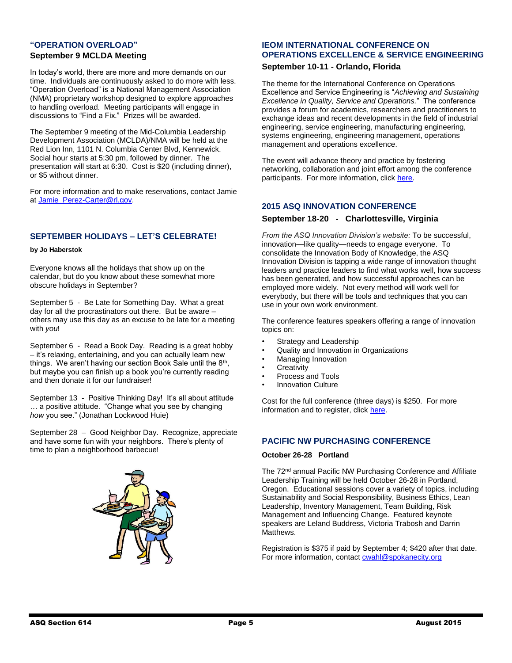### **"OPERATION OVERLOAD" September 9 MCLDA Meeting**

In today's world, there are more and more demands on our time. Individuals are continuously asked to do more with less. "Operation Overload" is a National Management Association (NMA) proprietary workshop designed to explore approaches to handling overload. Meeting participants will engage in discussions to "Find a Fix." Prizes will be awarded.

The September 9 meeting of the Mid-Columbia Leadership Development Association (MCLDA)/NMA will be held at the Red Lion Inn, 1101 N. Columbia Center Blvd, Kennewick. Social hour starts at 5:30 pm, followed by dinner. The presentation will start at 6:30. Cost is \$20 (including dinner), or \$5 without dinner.

For more information and to make reservations, contact Jamie at [Jamie\\_Perez-Carter@rl.gov.](mailto:Jamie_Perez-Carter@rl.gov)

### **SEPTEMBER HOLIDAYS – LET'S CELEBRATE!**

#### **by Jo Haberstok**

Everyone knows all the holidays that show up on the calendar, but do you know about these somewhat more obscure holidays in September?

September 5 - Be Late for Something Day. What a great day for all the procrastinators out there. But be aware – others may use this day as an excuse to be late for a meeting with *you*!

September 6 - Read a Book Day. Reading is a great hobby – it's relaxing, entertaining, and you can actually learn new things. We aren't having our section Book Sale until the  $8<sup>th</sup>$ , but maybe you can finish up a book you're currently reading and then donate it for our fundraiser!

September 13 - Positive Thinking Day! It's all about attitude ... a positive attitude. "Change what you see by changing *how* you see." (Jonathan Lockwood Huie)

September 28 – Good Neighbor Day. Recognize, appreciate and have some fun with your neighbors. There's plenty of time to plan a neighborhood barbecue!



### **IEOM INTERNATIONAL CONFERENCE ON OPERATIONS EXCELLENCE & SERVICE ENGINEERING**

### **September 10-11 - Orlando, Florida**

The theme for the International Conference on Operations Excellence and Service Engineering is "*Achieving and Sustaining Excellence in Quality, Service and Operations.*" The conference provides a forum for academics, researchers and practitioners to exchange ideas and recent developments in the field of industrial engineering, service engineering, manufacturing engineering, systems engineering, engineering management, operations management and operations excellence.

The event will advance theory and practice by fostering networking, collaboration and joint effort among the conference participants. For more information, click [here.](http://iieom.org/icmoe2015/)

### **2015 ASQ INNOVATION CONFERENCE**

### **September 18-20 - Charlottesville, Virginia**

*From the ASQ Innovation Division's website:* To be successful, innovation—like quality—needs to engage everyone. To consolidate the Innovation Body of Knowledge, the ASQ Innovation Division is tapping a wide range of innovation thought leaders and practice leaders to find what works well, how success has been generated, and how successful approaches can be employed more widely. Not every method will work well for everybody, but there will be tools and techniques that you can use in your own work environment.

The conference features speakers offering a range of innovation topics on:

- Strategy and Leadership
- Quality and Innovation in Organizations
- Managing Innovation
- **Creativity**
- Process and Tools
- Innovation Culture

Cost for the full conference (three days) is \$250. For more information and to register, click [here.](http://asq.org/innovation-group/About/innovation-conference)

### **PACIFIC NW PURCHASING CONFERENCE**

### **October 26-28 Portland**

The 72<sup>nd</sup> annual Pacific NW Purchasing Conference and Affiliate Leadership Training will be held October 26-28 in Portland, Oregon. Educational sessions cover a variety of topics, including Sustainability and Social Responsibility, Business Ethics, Lean Leadership, Inventory Management, Team Building, Risk Management and Influencing Change. Featured keynote speakers are Leland Buddress, Victoria Trabosh and Darrin Matthews.

Registration is \$375 if paid by September 4; \$420 after that date. For more information, contact [cwahl@spokanecity.org](mailto:cwahl@spokanecity.org)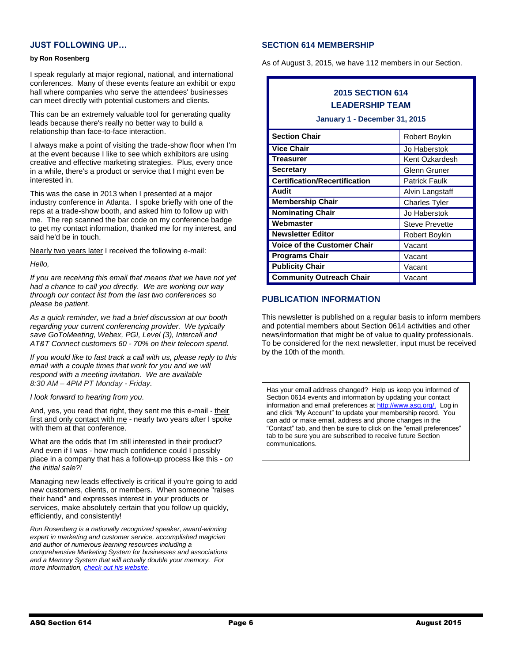#### **JUST FOLLOWING UP…**

#### **by Ron Rosenberg**

I speak regularly at major regional, national, and international conferences. Many of these events feature an exhibit or expo hall where companies who serve the attendees' businesses can meet directly with potential customers and clients.

This can be an extremely valuable tool for generating quality leads because there's really no better way to build a relationship than face-to-face interaction.

I always make a point of visiting the trade-show floor when I'm at the event because I like to see which exhibitors are using creative and effective marketing strategies. Plus, every once in a while, there's a product or service that I might even be interested in.

This was the case in 2013 when I presented at a major industry conference in Atlanta. I spoke briefly with one of the reps at a trade-show booth, and asked him to follow up with me. The rep scanned the bar code on my conference badge to get my contact information, thanked me for my interest, and said he'd be in touch.

Nearly two years later I received the following e-mail:

#### *Hello,*

*If you are receiving this email that means that we have not yet had a chance to call you directly. We are working our way through our contact list from the last two conferences so please be patient.*

*As a quick reminder, we had a brief discussion at our booth regarding your current conferencing provider. We typically save GoToMeeting, Webex, PGI, Level (3), Intercall and AT&T Connect customers 60 - 70% on their telecom spend.*

*If you would like to fast track a call with us, please reply to this email with a couple times that work for you and we will respond with a meeting invitation. We are available 8:30 AM – 4PM PT Monday - Friday.*

*I look forward to hearing from you.*

And, yes, you read that right, they sent me this e-mail - their first and only contact with me - nearly two years after I spoke with them at that conference.

What are the odds that I'm still interested in their product? And even if I was - how much confidence could I possibly place in a company that has a follow-up process like this - *on the initial sale?!*

Managing new leads effectively is critical if you're going to add new customers, clients, or members. When someone "raises their hand" and expresses interest in your products or services, make absolutely certain that you follow up quickly, efficiently, and consistently!

*Ron Rosenberg is a nationally recognized speaker, award-winning expert in marketing and customer service, accomplished magician and author of numerous learning resources including a comprehensive Marketing System for businesses and associations and a Memory System that will actually double your memory. For more information[, check out his website.](http://ronrosenbergspeaker.com/)*

#### **SECTION 614 MEMBERSHIP**

As of August 3, 2015, we have 112 members in our Section.

### **2015 SECTION 614 LEADERSHIP TEAM**

#### **January 1 - December 31, 2015**

| <b>Section Chair</b>                 | <b>Robert Boykin</b>  |
|--------------------------------------|-----------------------|
| <b>Vice Chair</b>                    | Jo Haberstok          |
| <b>Treasurer</b>                     | Kent Ozkardesh        |
| <b>Secretary</b>                     | <b>Glenn Gruner</b>   |
| <b>Certification/Recertification</b> | <b>Patrick Faulk</b>  |
| Audit                                | Alvin Langstaff       |
| <b>Membership Chair</b>              | <b>Charles Tyler</b>  |
| <b>Nominating Chair</b>              | Jo Haberstok          |
| Webmaster                            | <b>Steve Prevette</b> |
| <b>Newsletter Editor</b>             | Robert Boykin         |
| <b>Voice of the Customer Chair</b>   | Vacant                |
| <b>Programs Chair</b>                | Vacant                |
| <b>Publicity Chair</b>               | Vacant                |
| <b>Community Outreach Chair</b>      | Vacant                |

#### **PUBLICATION INFORMATION**

This newsletter is published on a regular basis to inform members and potential members about Section 0614 activities and other news/information that might be of value to quality professionals. To be considered for the next newsletter, input must be received by the 10th of the month.

Has your email address changed? Help us keep you informed of Section 0614 events and information by updating your contact information and email preferences at [http://www.asq.org/.](http://www.asq.org/) Log in and click "My Account" to update your membership record. You can add or make email, address and phone changes in the "Contact" tab, and then be sure to click on the "email preferences" tab to be sure you are subscribed to receive future Section communications.